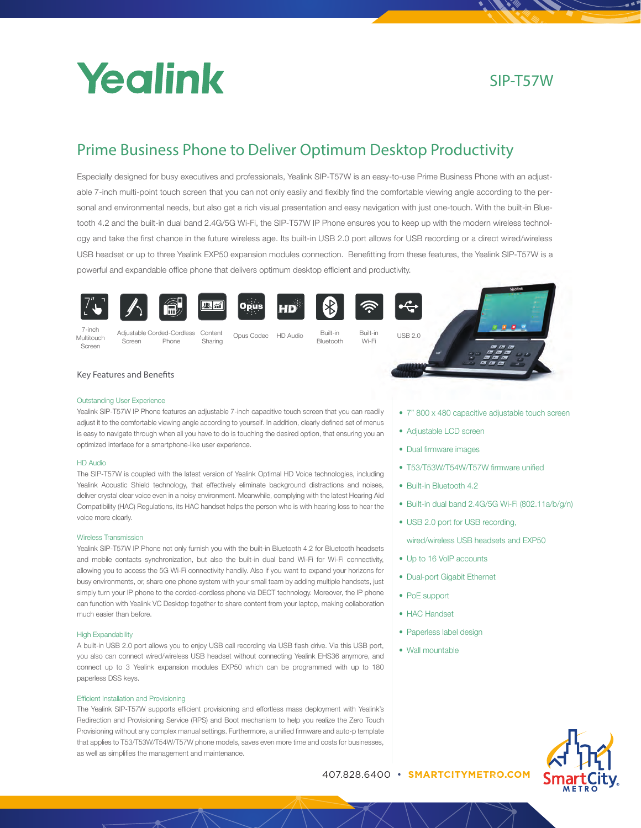

# SIP-T57W

# Prime Business Phone to Deliver Optimum Desktop Productivity

Especially designed for busy executives and professionals, Yealink SIP-T57W is an easy-to-use Prime Business Phone with an adjustable 7-inch multi-point touch screen that you can not only easily and flexibly find the comfortable viewing angle according to the personal and environmental needs, but also get a rich visual presentation and easy navigation with just one-touch. With the built-in Bluetooth 4.2 and the built-in dual band 2.4G/5G Wi-Fi, the SIP-T57W IP Phone ensures you to keep up with the modern wireless technology and take the first chance in the future wireless age. Its built-in USB 2.0 port allows for USB recording or a direct wired/wireless USB headset or up to three Yealink EXP50 expansion modules connection. Benefitting from these features, the Yealink SIP-T57W is a powerful and expandable office phone that delivers optimum desktop efficient and productivity.









Sharing





7-inch Multitouch Screen

Adjustable Corded-Cordless Content Phone

Opus Codec HD Audio Built-in Built-in USB 2.0<br>Bluetooth Wi-Fi

पहि

Wi-Fi



# Key Features and Benefits

Screen

# Outstanding User Experience

Yealink SIP-T57W IP Phone features an adjustable 7-inch capacitive touch screen that you can readily adjust it to the comfortable viewing angle according to yourself. In addition, clearly defined set of menus is easy to navigate through when all you have to do is touching the desired option, that ensuring you an optimized interface for a smartphone-like user experience.

# HD Audio

The SIP-T57W is coupled with the latest version of Yealink Optimal HD Voice technologies, including Yealink Acoustic Shield technology, that effectively eliminate background distractions and noises, deliver crystal clear voice even in a noisy environment. Meanwhile, complying with the latest Hearing Aid Compatibility (HAC) Regulations, its HAC handset helps the person who is with hearing loss to hear the voice more clearly.

## Wireless Transmission

Yealink SIP-T57W IP Phone not only furnish you with the built-in Bluetooth 4.2 for Bluetooth headsets and mobile contacts synchronization, but also the built-in dual band Wi-Fi for Wi-Fi connectivity, allowing you to access the 5G Wi-Fi connectivity handily. Also if you want to expand your horizons for busy environments, or, share one phone system with your small team by adding multiple handsets, just simply turn your IP phone to the corded-cordless phone via DECT technology. Moreover, the IP phone can function with Yealink VC Desktop together to share content from your laptop, making collaboration much easier than before.

## High Expandability

A built-in USB 2.0 port allows you to enjoy USB call recording via USB flash drive. Via this USB port, you also can connect wired/wireless USB headset without connecting Yealink EHS36 anymore, and connect up to 3 Yealink expansion modules EXP50 which can be programmed with up to 180 paperless DSS keys.

## Efficient Installation and Provisioning

The Yealink SIP-T57W supports efficient provisioning and effortless mass deployment with Yealink's Redirection and Provisioning Service (RPS) and Boot mechanism to help you realize the Zero Touch Provisioning without any complex manual settings. Furthermore, a unified firmware and auto-p template that applies to T53/T53W/T54W/T57W phone models, saves even more time and costs for businesses, as well as simplifies the management and maintenance.

- 7" 800 x 480 capacitive adjustable touch screen
- Adjustable LCD screen
- Dual firmware images
- T53/T53W/T54W/T57W firmware unified
- Built-in Bluetooth 4.2
- Built-in dual band 2.4G/5G Wi-Fi (802.11a/b/g/n)
- USB 2.0 port for USB recording.

wired/wireless USB headsets and EXP50

- Up to 16 VoIP accounts
- Dual-port Gigabit Ethernet
- 
- 
- Paperless label design
- Wall mountable



www.yealink.com 407.828.6400 • **SMARTCITYMETRO.COM**

- -
	-
	- PoE support
	- HAC Handset